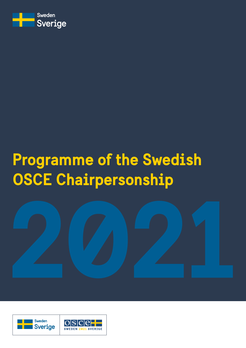

### **Programme of the Swedish OSCE Chairpersonship**



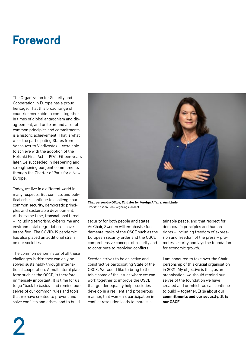#### **Foreword**

The Organization for Security and Cooperation in Europe has a proud heritage. That this broad range of countries were able to come together, in times of global antagonism and disagreement, and unite around a set of common principles and commitments, is a historic achievement. That is what we – the participating States from Vancouver to Vladivostok – were able to achieve with the adoption of the Helsinki Final Act in 1975. Fifteen years later, we succeeded in deepening and strengthening our joint commitments through the Charter of Paris for a New Europe.

Today, we live in a different world in many respects. But conflicts and political crises continue to challenge our common security, democratic principles and sustainable development. At the same time, transnational threats – including terrorism, cybercrime and environmental degradation – have intensified. The COVID-19 pandemic has also placed an additional strain on our societies.

The common denominator of all these challenges is this: they can only be solved sustainably through international cooperation. A multilateral platform such as the OSCE, is therefore immensely important. It is time for us to go "back to basics" and remind ourselves of our common rules and tools that we have created to prevent and solve conflicts and crises, and to build



**Chairperson-in-Office, Minister for Foreign Affairs, Ann Linde.**  Credit: Kristian Pohl/Regeringskansliet

security for both people and states. As Chair, Sweden will emphasise fundamental tasks of the OSCE such as the European security order and the OSCE comprehensive concept of security and to contribute to resolving conflicts.

Sweden strives to be an active and constructive participating State of the OSCE. We would like to bring to the table some of the issues where we can work together to improve the OSCE: that gender equality helps societies develop in a resilient and prosperous manner, that women's participation in conflict resolution leads to more sustainable peace, and that respect for democratic principles and human rights – including freedom of expression and freedom of the press – promotes security and lays the foundation for economic growth.

I am honoured to take over the Chairpersonship of this crucial organisation in 2021. My objective is that, as an organisation, we should remind ourselves of the foundation we have created and on which we can continue to build – together. **It is about our commitments and our security. It is our OSCE.**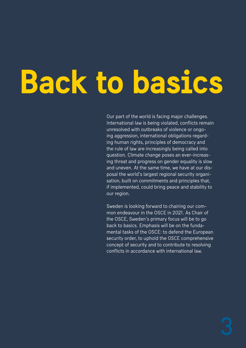# **Back to basics**

Our part of the world is facing major challenges. International law is being violated, conflicts remain unresolved with outbreaks of violence or ongoing aggression, international obligations regarding human rights, principles of democracy and the rule of law are increasingly being called into question. Climate change poses an ever-increasing threat and progress on gender equality is slow and uneven. At the same time, we have at our disposal the world's largest regional security organisation, built on commitments and principles that, if implemented, could bring peace and stability to our region.

Sweden is looking forward to chairing our common endeavour in the OSCE in 2021. As Chair of the OSCE, Sweden's primary focus will be to go back to basics. Emphasis will be on the fundamental tasks of the OSCE: to defend the European security order, to uphold the OSCE comprehensive concept of security and to contribute to resolving conflicts in accordance with international law.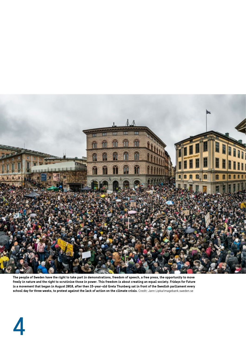

**The people of Sweden have the right to take part in demonstrations, freedom of speech, a free press, the opportunity to move freely in nature and the right to scrutinise those in power. This freedom is about creating an equal society. Fridays for Future is a movement that began in August 2018, after then 15-year-old Greta Thunberg sat in front of the Swedish parliament every school day for three weeks, to protest against the lack of action on the climate crisis.** Credit: Jann Lipka/imagebank.sweden.se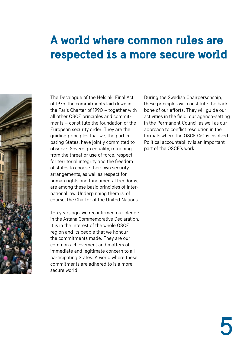#### **A world where common rules are respected is a more secure world**



The Decalogue of the Helsinki Final Act of 1975, the commitments laid down in the Paris Charter of 1990 – together with all other OSCE principles and commitments – constitute the foundation of the European security order. They are the guiding principles that we, the participating States, have jointly committed to observe. Sovereign equality, refraining from the threat or use of force, respect for territorial integrity and the freedom of states to choose their own security arrangements, as well as respect for human rights and fundamental freedoms, are among these basic principles of international law. Underpinning them is, of course, the Charter of the United Nations.

Ten years ago, we reconfirmed our pledge in the Astana Commemorative Declaration. It is in the interest of the whole OSCE region and its people that we honour the commitments made. They are our common achievement and matters of immediate and legitimate concern to all participating States. A world where these commitments are adhered to is a more secure world.

During the Swedish Chairpersonship, these principles will constitute the backbone of our efforts. They will guide our activities in the field, our agenda-setting in the Permanent Council as well as our approach to conflict resolution in the formats where the OSCE CiO is involved. Political accountability is an important part of the OSCE's work.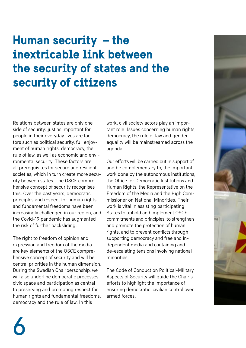#### **Human security – the inextricable link between the security of states and the security of citizens**

Relations between states are only one side of security: just as important for people in their everyday lives are factors such as political security, full enjoyment of human rights, democracy, the rule of law, as well as economic and environmental security. These factors are all prerequisites for secure and resilient societies, which in turn create more security between states. The OSCE comprehensive concept of security recognises this. Over the past years, democratic principles and respect for human rights and fundamental freedoms have been increasingly challenged in our region, and the Covid-19 pandemic has augmented the risk of further backsliding.

The right to freedom of opinion and expression and freedom of the media are key elements of the OSCE comprehensive concept of security and will be central priorities in the human dimension. During the Swedish Chairpersonship, we will also underline democratic processes, civic space and participation as central to preserving and promoting respect for human rights and fundamental freedoms, democracy and the rule of law. In this

work, civil society actors play an important role. Issues concerning human rights, democracy, the rule of law and gender equality will be mainstreamed across the agenda.

Our efforts will be carried out in support of, and be complementary to, the important work done by the autonomous institutions, the Office for Democratic Institutions and Human Rights, the Representative on the Freedom of the Media and the High Commissioner on National Minorities. Their work is vital in assisting participating States to uphold and implement OSCE commitments and principles, to strengthen and promote the protection of human rights, and to prevent conflicts through supporting democracy and free and independent media and containing and de-escalating tensions involving national minorities.

The Code of Conduct on Political-Military Aspects of Security will guide the Chair's efforts to highlight the importance of ensuring democratic, civilian control over armed forces.

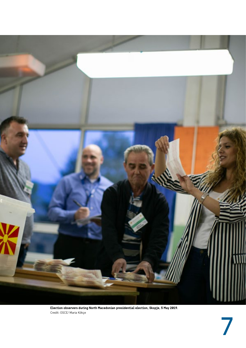

**Election observers during North Macedonian presidential election, Skopje, 5 May 2019.**  Credit: OSCE/ Maria Kökçe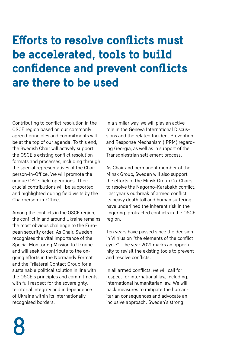#### **Efforts to resolve conflicts must be accelerated, tools to build confidence and prevent conflicts are there to be used**

Contributing to conflict resolution in the OSCE region based on our commonly agreed principles and commitments will be at the top of our agenda. To this end, the Swedish Chair will actively support the OSCE's existing conflict resolution formats and processes, including through the special representatives of the Chairperson-in-Office. We will promote the unique OSCE field operations. Their crucial contributions will be supported and highlighted during field visits by the Chairperson-in-Office.

Among the conflicts in the OSCE region, the conflict in and around Ukraine remains the most obvious challenge to the European security order. As Chair, Sweden recognises the vital importance of the Special Monitoring Mission to Ukraine and will seek to contribute to the ongoing efforts in the Normandy Format and the Trilateral Contact Group for a sustainable political solution in line with the OSCE's principles and commitments, with full respect for the sovereignty. territorial integrity and independence of Ukraine within its internationally recognised borders.

In a similar way, we will play an active role in the Geneva International Discussions and the related Incident Prevention and Response Mechanism (IPRM) regarding Georgia, as well as in support of the Transdniestrian settlement process.

As Chair and permanent member of the Minsk Group, Sweden will also support the efforts of the Minsk Group Co-Chairs to resolve the Nagorno-Karabakh conflict. Last year's outbreak of armed conflict, its heavy death toll and human suffering have underlined the inherent risk in the lingering, protracted conflicts in the OSCE region.

Ten years have passed since the decision in Vilnius on "the elements of the conflict cycle". The year 2021 marks an opportunity to revisit the existing tools to prevent and resolve conflicts.

In all armed conflicts, we will call for respect for international law, including, international humanitarian law. We will back measures to mitigate the humanitarian consequences and advocate an inclusive approach. Sweden´s strong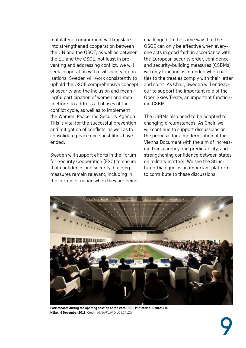multilateral commitment will translate into strengthened cooperation between the UN and the OSCE, as well as between the EU and the OSCE, not least in preventing and addressing conflict. We will seek cooperation with civil society organisations. Sweden will work consistently to uphold the OSCE comprehensive concept of security and the inclusion and meaningful participation of women and men in efforts to address all phases of the conflict cycle, as well as to implement the Women, Peace and Security Agenda. This is vital for the successful prevention and mitigation of conflicts, as well as to consolidate peace once hostilities have ended.

Sweden will support efforts in the Forum for Security Cooperation (FSC) to ensure that confidence and security-building measures remain relevant, including in the current situation when they are being

challenged. In the same way that the OSCE can only be effective when everyone acts in good faith in accordance with the European security order, confidence and security-building measures (CSBMs) will only function as intended when parties to the treaties comply with their letter and spirit. As Chair, Sweden will endeavour to support the important role of the Open Skies Treaty, an important functioning CSBM.

The CSBMs also need to be adapted to changing circumstances. As Chair, we will continue to support discussions on the proposal for a modernisation of the Vienna Document with the aim of increasing transparency and predictability, and strengthening confidence between states on military matters. We see the Structured Dialogue as an important platform to contribute to these discussions.



**Participants during the opening session of the 25th OSCE Ministerial Council in Milan, 6 December 2018.** Credit: ANSA/FLAVIO LO SCALZO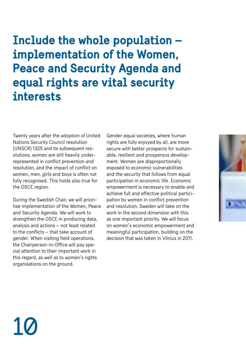#### **Include the whole population – implementation of the Women, Peace and Security Agenda and equal rights are vital security interests**

Twenty years after the adoption of United Nations Security Council resolution (UNSCR) 1325 and its subsequent resolutions, women are still heavily underrepresented in conflict prevention and resolution, and the impact of conflict on women, men, girls and boys is often not fully recognised. This holds also true for the OSCE region.

During the Swedish Chair, we will prioritise implementation of the Women, Peace and Security Agenda. We will work to strengthen the OSCE in producing data, analysis and actions – not least related to the conflicts – that take account of gender. When visiting field operations, the Chairperson-in-Office will pay special attention to their important work in this regard, as well as to women's rights organisations on the ground.

10

Gender equal societies, where human rights are fully enjoyed by all, are more secure with better prospects for sustainable, resilient and prosperous development. Women are disproportionally exposed to economic vulnerabilities and the security that follows from equal participation in economic life. Economic empowerment is necessary to enable and achieve full and effective political participation by women in conflict prevention and resolution. Sweden will take on the work in the second dimension with this as one important priority. We will focus on women's economic empowerment and meaningful participation, building on the decision that was taken in Vilnius in 2011.

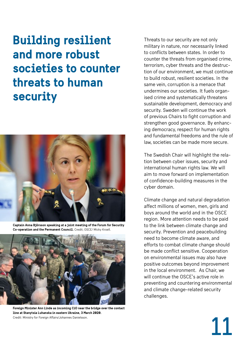#### **Building resilient and more robust societies to counter threats to human security**



**Captain Anna Björsson speaking at a joint meeting of the Forum for Security Co-operation and the Permanent Council.** Credit; OSCE/ Micky Kroell.



**Foreign Minister Ann Linde as incoming CiO near the bridge over the contact line at Stanytsia Luhanska in eastern Ukraine, 3 March 2020.**  Credit: Ministry for Foreign Affairs/Johannes Danielsson.

Threats to our security are not only military in nature, nor necessarily linked to conflicts between states. In order to counter the threats from organised crime, terrorism, cyber threats and the destruction of our environment, we must continue to build robust, resilient societies. In the same vein, corruption is a menace that undermines our societies. It fuels organised crime and systematically threatens sustainable development, democracy and security. Sweden will continue the work of previous Chairs to fight corruption and strengthen good governance. By enhancing democracy, respect for human rights and fundamental freedoms and the rule of law, societies can be made more secure.

The Swedish Chair will highlight the relation between cyber issues, security and international human rights law. We will aim to move forward on implementation of confidence-building measures in the cyber domain.

Climate change and natural degradation affect millions of women, men, girls and boys around the world and in the OSCE region. More attention needs to be paid to the link between climate change and security. Prevention and peacebuilding need to become climate aware, and efforts to combat climate change should be made conflict sensitive. Cooperation on environmental issues may also have positive outcomes beyond improvement in the local environment. As Chair, we will continue the OSCE's active role in preventing and countering environmental and climate change-related security challenges.